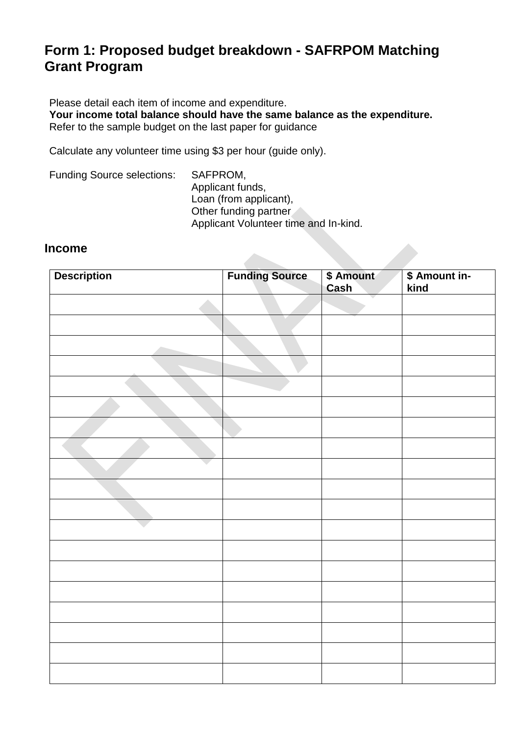### **Form 1: Proposed budget breakdown - SAFRPOM Matching Grant Program**

Please detail each item of income and expenditure. **Your income total balance should have the same balance as the expenditure.** Refer to the sample budget on the last paper for guidance

Calculate any volunteer time using \$3 per hour (guide only).

Funding Source selections: SAFPROM, Applicant funds, Loan (from applicant), Other funding partner Applicant Volunteer time and In-kind.

#### **Income**

| <b>Description</b> | <b>Funding Source</b> | \$ Amount<br>Cash | \$ Amount in-<br>kind |
|--------------------|-----------------------|-------------------|-----------------------|
|                    |                       |                   |                       |
|                    |                       |                   |                       |
|                    |                       |                   |                       |
|                    |                       |                   |                       |
|                    |                       |                   |                       |
|                    |                       |                   |                       |
|                    |                       |                   |                       |
|                    |                       |                   |                       |
|                    |                       |                   |                       |
|                    |                       |                   |                       |
|                    |                       |                   |                       |
|                    |                       |                   |                       |
|                    |                       |                   |                       |
|                    |                       |                   |                       |
|                    |                       |                   |                       |
|                    |                       |                   |                       |
|                    |                       |                   |                       |
|                    |                       |                   |                       |
|                    |                       |                   |                       |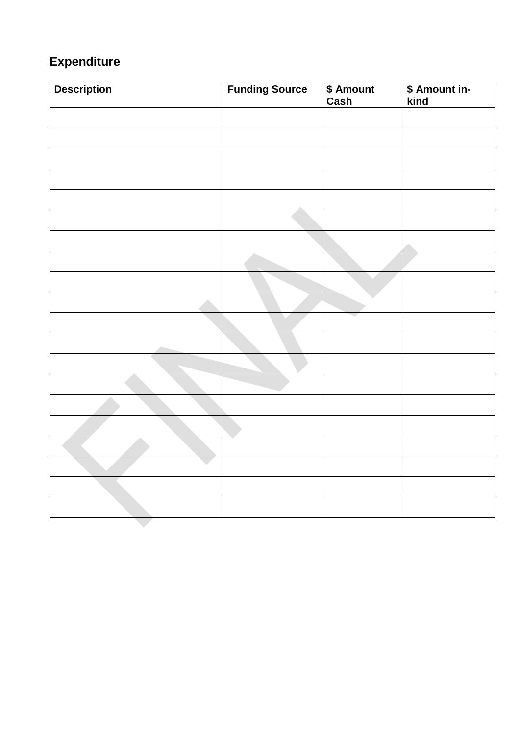# **Expenditure**

| <b>Description</b> | <b>Funding Source</b> | \$ Amount<br>Cash | \$ Amount in-<br>kind |
|--------------------|-----------------------|-------------------|-----------------------|
|                    |                       |                   |                       |
|                    |                       |                   |                       |
|                    |                       |                   |                       |
|                    |                       |                   |                       |
|                    |                       |                   |                       |
|                    |                       |                   |                       |
|                    |                       |                   |                       |
|                    |                       |                   |                       |
|                    |                       |                   |                       |
|                    |                       |                   |                       |
|                    |                       |                   |                       |
|                    |                       |                   |                       |
|                    |                       |                   |                       |
|                    |                       |                   |                       |
|                    |                       |                   |                       |
|                    |                       |                   |                       |
|                    |                       |                   |                       |
|                    |                       |                   |                       |
|                    |                       |                   |                       |
|                    |                       |                   |                       |